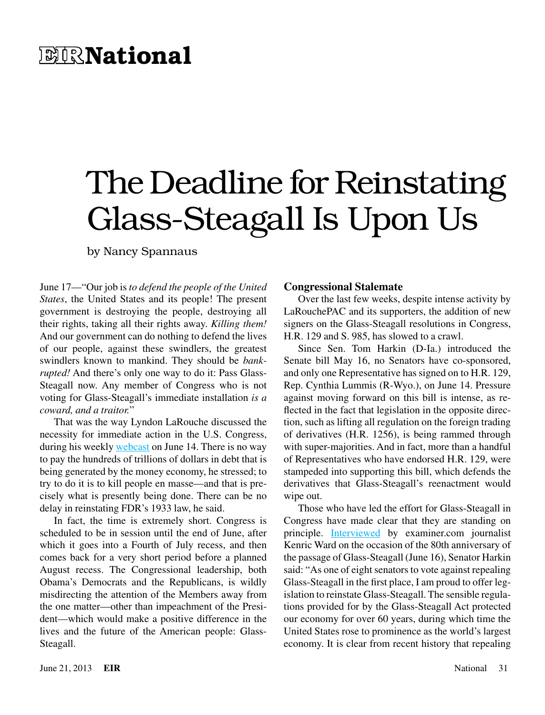# **EIRNational**

# The Deadline for Reinstating Glass-Steagall Is Upon Us

by Nancy Spannaus

June 17—"Our job is *to defend the people of the United States*, the United States and its people! The present government is destroying the people, destroying all their rights, taking all their rights away. *Killing them!* And our government can do nothing to defend the lives of our people, against these swindlers, the greatest swindlers known to mankind. They should be *bankrupted!* And there's only one way to do it: Pass Glass-Steagall now. Any member of Congress who is not voting for Glass-Steagall's immediate installation *is a coward, and a traitor.*"

That was the way Lyndon LaRouche discussed the necessity for immediate action in the U.S. Congress, during his weekly [webcast](http://larouchepac.com/node/26955) on June 14. There is no way to pay the hundreds of trillions of dollars in debt that is being generated by the money economy, he stressed; to try to do it is to kill people en masse—and that is precisely what is presently being done. There can be no delay in reinstating FDR's 1933 law, he said.

In fact, the time is extremely short. Congress is scheduled to be in session until the end of June, after which it goes into a Fourth of July recess, and then comes back for a very short period before a planned August recess. The Congressional leadership, both Obama's Democrats and the Republicans, is wildly misdirecting the attention of the Members away from the one matter—other than impeachment of the President—which would make a positive difference in the lives and the future of the American people: Glass-Steagall.

#### **Congressional Stalemate**

Over the last few weeks, despite intense activity by LaRouchePAC and its supporters, the addition of new signers on the Glass-Steagall resolutions in Congress, H.R. 129 and S. 985, has slowed to a crawl.

Since Sen. Tom Harkin (D-Ia.) introduced the Senate bill May 16, no Senators have co-sponsored, and only one Representative has signed on to H.R. 129, Rep. Cynthia Lummis (R-Wyo.), on June 14. Pressure against moving forward on this bill is intense, as reflected in the fact that legislation in the opposite direction, such as lifting all regulation on the foreign trading of derivatives (H.R. 1256), is being rammed through with super-majorities. And in fact, more than a handful of Representatives who have endorsed H.R. 129, were stampeded into supporting this bill, which defends the derivatives that Glass-Steagall's reenactment would wipe out.

Those who have led the effort for Glass-Steagall in Congress have made clear that they are standing on principle. **[Interviewed](http://exm.nr/ZSduyM)** by examiner.com journalist Kenric Ward on the occasion of the 80th anniversary of the passage of Glass-Steagall (June 16), Senator Harkin said: "As one of eight senators to vote against repealing Glass-Steagall in the first place, I am proud to offer legislation to reinstate Glass-Steagall. The sensible regulations provided for by the Glass-Steagall Act protected our economy for over 60 years, during which time the United States rose to prominence as the world's largest economy. It is clear from recent history that repealing